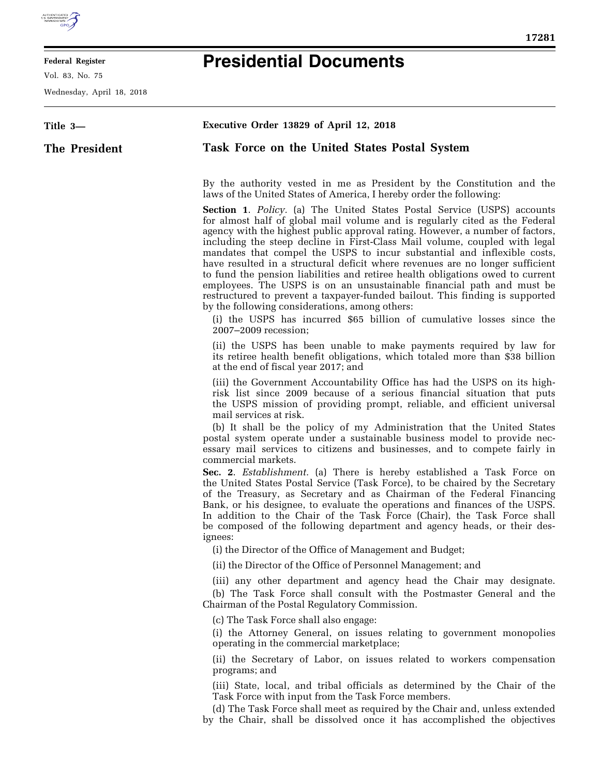

E

## **Federal Register**

Vol. 83, No. 75

Wednesday, April 18, 2018

## **Presidential Documents**

| Title 3-      | Executive Order 13829 of April 12, 2018                                                                                                                                                                                                                                                                                                                                                                                                                                                                                                                                                                                                                                                                                                                                                                                                                                                 |
|---------------|-----------------------------------------------------------------------------------------------------------------------------------------------------------------------------------------------------------------------------------------------------------------------------------------------------------------------------------------------------------------------------------------------------------------------------------------------------------------------------------------------------------------------------------------------------------------------------------------------------------------------------------------------------------------------------------------------------------------------------------------------------------------------------------------------------------------------------------------------------------------------------------------|
| The President | Task Force on the United States Postal System                                                                                                                                                                                                                                                                                                                                                                                                                                                                                                                                                                                                                                                                                                                                                                                                                                           |
|               |                                                                                                                                                                                                                                                                                                                                                                                                                                                                                                                                                                                                                                                                                                                                                                                                                                                                                         |
|               | By the authority vested in me as President by the Constitution and the<br>laws of the United States of America, I hereby order the following:                                                                                                                                                                                                                                                                                                                                                                                                                                                                                                                                                                                                                                                                                                                                           |
|               | <b>Section 1.</b> Policy. (a) The United States Postal Service (USPS) accounts<br>for almost half of global mail volume and is regularly cited as the Federal<br>agency with the highest public approval rating. However, a number of factors,<br>including the steep decline in First-Class Mail volume, coupled with legal<br>mandates that compel the USPS to incur substantial and inflexible costs,<br>have resulted in a structural deficit where revenues are no longer sufficient<br>to fund the pension liabilities and retiree health obligations owed to current<br>employees. The USPS is on an unsustainable financial path and must be<br>restructured to prevent a taxpayer-funded bailout. This finding is supported<br>by the following considerations, among others:<br>(i) the USPS has incurred \$65 billion of cumulative losses since the<br>2007-2009 recession; |
|               | (ii) the USPS has been unable to make payments required by law for<br>its retiree health benefit obligations, which totaled more than \$38 billion<br>at the end of fiscal year 2017; and                                                                                                                                                                                                                                                                                                                                                                                                                                                                                                                                                                                                                                                                                               |
|               | (iii) the Government Accountability Office has had the USPS on its high-<br>risk list since 2009 because of a serious financial situation that puts<br>the USPS mission of providing prompt, reliable, and efficient universal<br>mail services at risk.<br>(b) It shall be the policy of my Administration that the United States                                                                                                                                                                                                                                                                                                                                                                                                                                                                                                                                                      |
|               | postal system operate under a sustainable business model to provide nec-<br>essary mail services to citizens and businesses, and to compete fairly in<br>commercial markets.                                                                                                                                                                                                                                                                                                                                                                                                                                                                                                                                                                                                                                                                                                            |
|               | Sec. 2. <i>Establishment</i> . (a) There is hereby established a Task Force on<br>the United States Postal Service (Task Force), to be chaired by the Secretary<br>of the Treasury, as Secretary and as Chairman of the Federal Financing<br>Bank, or his designee, to evaluate the operations and finances of the USPS.<br>In addition to the Chair of the Task Force (Chair), the Task Force shall<br>be composed of the following department and agency heads, or their des-<br>ignees:                                                                                                                                                                                                                                                                                                                                                                                              |
|               | (i) the Director of the Office of Management and Budget;                                                                                                                                                                                                                                                                                                                                                                                                                                                                                                                                                                                                                                                                                                                                                                                                                                |
|               | (ii) the Director of the Office of Personnel Management; and                                                                                                                                                                                                                                                                                                                                                                                                                                                                                                                                                                                                                                                                                                                                                                                                                            |
|               | (iii) any other department and agency head the Chair may designate.<br>(b) The Task Force shall consult with the Postmaster General and the<br>Chairman of the Postal Regulatory Commission.                                                                                                                                                                                                                                                                                                                                                                                                                                                                                                                                                                                                                                                                                            |
|               | (c) The Task Force shall also engage:<br>(i) the Attorney General, on issues relating to government monopolies<br>operating in the commercial marketplace;                                                                                                                                                                                                                                                                                                                                                                                                                                                                                                                                                                                                                                                                                                                              |
|               | (ii) the Secretary of Labor, on issues related to workers compensation<br>programs; and                                                                                                                                                                                                                                                                                                                                                                                                                                                                                                                                                                                                                                                                                                                                                                                                 |
|               | (iii) State, local, and tribal officials as determined by the Chair of the<br>Task Force with input from the Task Force members.                                                                                                                                                                                                                                                                                                                                                                                                                                                                                                                                                                                                                                                                                                                                                        |
|               | (d) The Task Force shall meet as required by the Chair and, unless extended<br>by the Chair, shall be dissolved once it has accomplished the objectives                                                                                                                                                                                                                                                                                                                                                                                                                                                                                                                                                                                                                                                                                                                                 |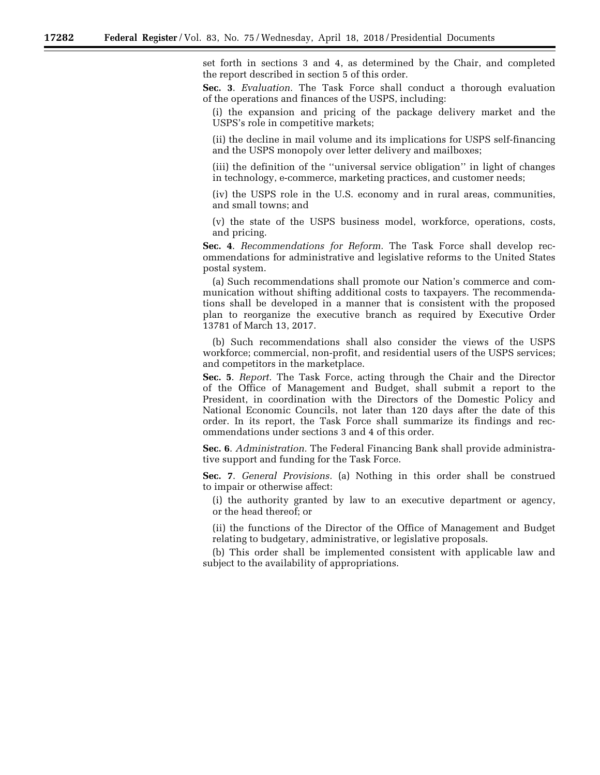set forth in sections 3 and 4, as determined by the Chair, and completed the report described in section 5 of this order.

**Sec. 3**. *Evaluation.* The Task Force shall conduct a thorough evaluation of the operations and finances of the USPS, including:

(i) the expansion and pricing of the package delivery market and the USPS's role in competitive markets;

(ii) the decline in mail volume and its implications for USPS self-financing and the USPS monopoly over letter delivery and mailboxes;

(iii) the definition of the ''universal service obligation'' in light of changes in technology, e-commerce, marketing practices, and customer needs;

(iv) the USPS role in the U.S. economy and in rural areas, communities, and small towns; and

(v) the state of the USPS business model, workforce, operations, costs, and pricing.

**Sec. 4**. *Recommendations for Reform.* The Task Force shall develop recommendations for administrative and legislative reforms to the United States postal system.

(a) Such recommendations shall promote our Nation's commerce and communication without shifting additional costs to taxpayers. The recommendations shall be developed in a manner that is consistent with the proposed plan to reorganize the executive branch as required by Executive Order 13781 of March 13, 2017.

(b) Such recommendations shall also consider the views of the USPS workforce; commercial, non-profit, and residential users of the USPS services; and competitors in the marketplace.

**Sec. 5**. *Report.* The Task Force, acting through the Chair and the Director of the Office of Management and Budget, shall submit a report to the President, in coordination with the Directors of the Domestic Policy and National Economic Councils, not later than 120 days after the date of this order. In its report, the Task Force shall summarize its findings and recommendations under sections 3 and 4 of this order.

**Sec. 6**. *Administration.* The Federal Financing Bank shall provide administrative support and funding for the Task Force.

**Sec. 7**. *General Provisions.* (a) Nothing in this order shall be construed to impair or otherwise affect:

(i) the authority granted by law to an executive department or agency, or the head thereof; or

(ii) the functions of the Director of the Office of Management and Budget relating to budgetary, administrative, or legislative proposals.

(b) This order shall be implemented consistent with applicable law and subject to the availability of appropriations.